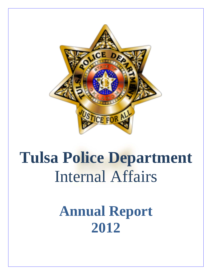

# **Tulsa Police Department**  Internal Affairs

**Annual Report 2012**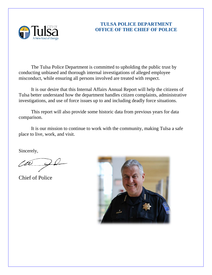

## **TULSA POLICE DEPARTMENT OFFICE OF THE CHIEF OF POLICE**

The Tulsa Police Department is committed to upholding the public trust by conducting unbiased and thorough internal investigations of alleged employee misconduct, while ensuring all persons involved are treated with respect.

It is our desire that this Internal Affairs Annual Report will help the citizens of Tulsa better understand how the department handles citizen complaints, administrative investigations, and use of force issues up to and including deadly force situations.

This report will also provide some historic data from previous years for data comparison.

It is our mission to continue to work with the community, making Tulsa a safe place to live, work, and visit.

Sincerely,

Chuck Jordan

Chief of Police

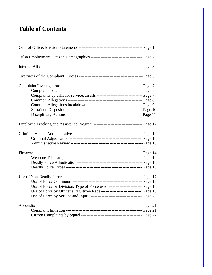# **Table of Contents**

| Complaints by calls for service, arrests ---------------------------------- Page 7 |  |
|------------------------------------------------------------------------------------|--|
|                                                                                    |  |
|                                                                                    |  |
|                                                                                    |  |
|                                                                                    |  |
|                                                                                    |  |
|                                                                                    |  |
|                                                                                    |  |
|                                                                                    |  |
|                                                                                    |  |
|                                                                                    |  |
|                                                                                    |  |
|                                                                                    |  |
|                                                                                    |  |
|                                                                                    |  |
| Use of Force by Division, Type of Force used ------------------------ Page 18      |  |
| Use of Force by Officer and Citizen Race ----------------------------- Page 18     |  |
|                                                                                    |  |
|                                                                                    |  |
|                                                                                    |  |
|                                                                                    |  |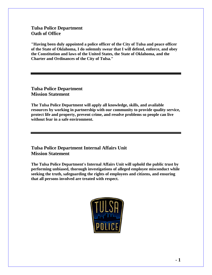## **Tulsa Police Department Oath of Office**

**"Having been duly appointed a police officer of the City of Tulsa and peace officer of the State of Oklahoma, I do solemnly swear that I will defend, enforce, and obey the Constitution and laws of the United States, the State of Oklahoma, and the Charter and Ordinances of the City of Tulsa."** 

**Tulsa Police Department Mission Statement** 

**The Tulsa Police Department will apply all knowledge, skills, and available resources by working in partnership with our community to provide quality service, protect life and property, prevent crime, and resolve problems so people can live without fear in a safe environment.** 

## **Tulsa Police Department Internal Affairs Unit Mission Statement**

**The Tulsa Police Department's Internal Affairs Unit will uphold the public trust by performing unbiased, thorough investigations of alleged employee misconduct while seeking the truth, safeguarding the rights of employees and citizens, and ensuring that all persons involved are treated with respect.** 

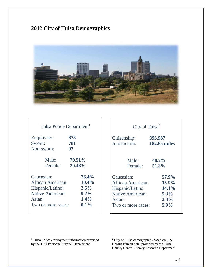# **2012 City of Tulsa Demographics**



| Tulsa Police Department  |          |
|--------------------------|----------|
| <b>Employees:</b>        | 878      |
| Sworn:                   | 781      |
| Non-sworn:               | 97       |
| Male:                    | 79.51%   |
| Female:                  | 20.48%   |
| Caucasian:               | 76.4%    |
| <b>African American:</b> | $10.4\%$ |
| Hispanic/Latino:         | 2.5%     |
| <b>Native American:</b>  | $9.2\%$  |
| Asian:                   | $1.4\%$  |
| Two or more races:       | $0.1\%$  |

| City of Tulsa <sup>2</sup> |                     |  |  |  |  |  |
|----------------------------|---------------------|--|--|--|--|--|
| Citizenship:               | 393,987             |  |  |  |  |  |
| Jurisdiction:              | <b>182.65 miles</b> |  |  |  |  |  |
| Male:                      | 48.7%               |  |  |  |  |  |
| Female:                    | 51.3%               |  |  |  |  |  |
| Caucasian:                 | 57.9%               |  |  |  |  |  |
| African American:          | 15.9%               |  |  |  |  |  |
| Hispanic/Latino:           | 14.1%               |  |  |  |  |  |
| <b>Native American:</b>    | 5.3%                |  |  |  |  |  |
| Asian:                     | 2.3%                |  |  |  |  |  |
| Two or more races:         | 5.9%                |  |  |  |  |  |

 1 Tulsa Police employment information provided by the TPD Personnel/Payroll Department

<sup>&</sup>lt;sup>2</sup> City of Tulsa demographics based on U.S. Census Bureau data, provided by the Tulsa County Central Library Research Department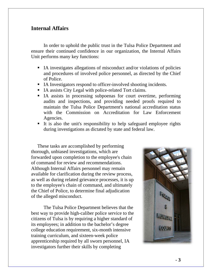## **Internal Affairs**

 In order to uphold the public trust in the Tulsa Police Department and ensure their continued confidence in our organization, the Internal Affairs Unit performs many key functions:

- IA investigates allegations of misconduct and/or violations of policies and procedures of involved police personnel, as directed by the Chief of Police.
- IA Investigators respond to officer-involved shooting incidents.
- IA assists City Legal with police-related Tort claims.
- IA assists in processing subpoenas for court overtime, performing audits and inspections, and providing needed proofs required to maintain the Tulsa Police Department's national accreditation status with the Commission on Accreditation for Law Enforcement Agencies.
- It is also the unit's responsibility to help safeguard employee rights during investigations as dictated by state and federal law.

These tasks are accomplished by performing thorough, unbiased investigations, which are forwarded upon completion to the employee's chain of command for review and recommendations. Although Internal Affairs personnel may remain available for clarification during the review process, as well as during related grievance processes, it is up to the employee's chain of command, and ultimately the Chief of Police, to determine final adjudication of the alleged misconduct.

 The Tulsa Police Department believes that the best way to provide high-caliber police service to the citizens of Tulsa is by requiring a higher standard of its employees; in addition to the bachelor's degree college education requirement, six-month intensive training curriculum, and sixteen-week police apprenticeship required by all sworn personnel, IA investigators further their skills by completing

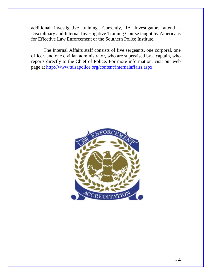additional investigative training. Currently, IA Investigators attend a Disciplinary and Internal Investigative Training Course taught by Americans for Effective Law Enforcement or the Southern Police Institute.

 The Internal Affairs staff consists of five sergeants, one corporal, one officer, and one civilian administrator, who are supervised by a captain, who reports directly to the Chief of Police. For more information, visit our web page at http://www.tulsapolice.org/content/internalaffairs.aspx.

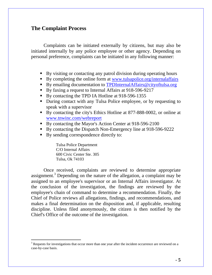## **The Complaint Process**

 Complaints can be initiated externally by citizens, but may also be initiated internally by any police employee or other agency. Depending on personal preference, complaints can be initiated in any following manner:

- By visiting or contacting any patrol division during operating hours
- By completing the online form at www.tulsapolice.org/internalaffairs
- By emailing documentation to TPDInternalAffairs@cityoftulsa.org
- By faxing a request to Internal Affairs at 918-596-9217
- By contacting the TPD IA Hotline at 918-596-1355
- During contact with any Tulsa Police employee, or by requesting to speak with a supervisor
- By contacting the city's Ethics Hotline at 877-888-0002, or online at www.tnwinc.com/webreport
- By contacting the Mayor's Action Center at 918-596-2100
- By contacting the Dispatch Non-Emergency line at 918-596-9222
- By sending correspondence directly to:

 Tulsa Police Department C/O Internal Affairs 600 Civic Center Ste. 305 Tulsa, Ok 74103

-

 Once received, complaints are reviewed to determine appropriate assignment.<sup>3</sup> Depending on the nature of the allegation, a complaint may be assigned to an employee's supervisor or an Internal Affairs investigator. At the conclusion of the investigation, the findings are reviewed by the employee's chain of command to determine a recommendation. Finally, the Chief of Police reviews all allegations, findings, and recommendations, and makes a final determination on the disposition and, if applicable, resulting discipline. Unless filed anonymously, the citizen is then notified by the Chief's Office of the outcome of the investigation.

 $3$  Requests for investigations that occur more than one year after the incident occurrence are reviewed on a case-by-case basis.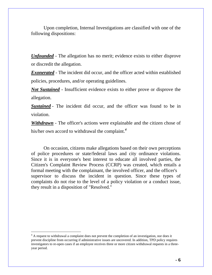Upon completion, Internal Investigations are classified with one of the following dispositions:

*Unfounded* - The allegation has no merit; evidence exists to either disprove or discredit the allegation.

*Exonerated* - The incident did occur, and the officer acted within established policies, procedures, and/or operating guidelines.

*Not Sustained* - Insufficient evidence exists to either prove or disprove the allegation.

*Sustained* - The incident did occur, and the officer was found to be in violation.

*Withdrawn* - The officer's actions were explainable and the citizen chose of his/her own accord to withdrawal the complaint.*<sup>4</sup>*

 On occasion, citizens make allegations based on their own perceptions of police procedures or state/federal laws and city ordinance violations. Since it is in everyone's best interest to educate all involved parties, the Citizen's Complaint Review Process (CCRP) was created, which entails a formal meeting with the complainant, the involved officer, and the officer's supervisor to discuss the incident in question. Since these types of complaints do not rise to the level of a policy violation or a conduct issue, they result in a disposition of "Resolved."

 4 A request to withdrawal a complaint does not prevent the completion of an investigation, nor does it prevent discipline from occurring if administrative issues are uncovered. In addition, TPD policy requires investigators to re-open cases if an employee receives three or more citizen withdrawal requests in a threeyear period.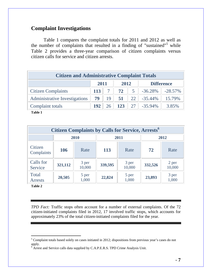## **Complaint Investigations**

 Table 1 compares the complaint totals for 2011 and 2012 as well as the number of complaints that resulted in a finding of "sustained"<sup>5</sup> while Table 2 provides a three-year comparison of citizen complaints versus citizen calls for service and citizen arrests.

| <b>Citizen and Administrative Complaint Totals</b> |     |              |     |                |                   |            |  |  |
|----------------------------------------------------|-----|--------------|-----|----------------|-------------------|------------|--|--|
|                                                    |     | 2011<br>2012 |     |                | <b>Difference</b> |            |  |  |
| <b>Citizen Complaints</b>                          | 113 |              | 72  | 5 <sup>5</sup> | $-36.28\%$        | $-28.57\%$ |  |  |
| <b>Administrative Investigations</b>               | 79  | 19           | 51  | 22             | $-35.44\%$        | 15.79%     |  |  |
| Complaint totals                                   | 192 | 26           | 123 | 27             | $-35.94\%$        | 3.85%      |  |  |

**Table 1** 

| <b>Citizen Complaints by Calls for Service, Arrests<sup>6</sup></b> |         |                 |            |                 |         |                 |  |  |  |
|---------------------------------------------------------------------|---------|-----------------|------------|-----------------|---------|-----------------|--|--|--|
|                                                                     |         | 2010            |            | 2011            | 2012    |                 |  |  |  |
| Citizen<br>Complaints                                               | 106     | Rate            | <b>113</b> | Rate            | 72      | Rate            |  |  |  |
| Calls for<br>Service                                                | 321,112 | 3 per<br>10,000 | 339,595    | 3 per<br>10,000 | 332,526 | 2 per<br>10,000 |  |  |  |
| Total<br><b>Arrests</b>                                             | 20,505  | 5 per<br>1,000  | 22,824     | 5 per<br>1,000  | 23,893  | 3 per<br>1,000  |  |  |  |

**Table 2** 

*TPD Fact:* Traffic stops often account for a number of external complaints. Of the 72 citizen-initiated complaints filed in 2012, 17 involved traffic stops, which accounts for approximately 23% of the total citizen-initiated complaints filed for the year.

<sup>&</sup>lt;sup>5</sup> Complaint totals based solely on cases initiated in 2012; dispositions from previous year's cases do not apply.<br><sup>6</sup> Arrest and Service calls data supplied by C.A.P.E.R.S. TPD Crime Analysis Unit.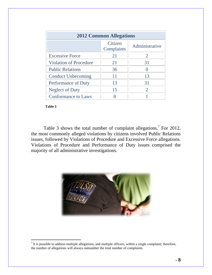| <b>2012 Common Allegations</b> |                       |                       |  |  |  |  |  |
|--------------------------------|-----------------------|-----------------------|--|--|--|--|--|
|                                | Citizen<br>Complaints | Administrative        |  |  |  |  |  |
| <b>Excessive Force</b>         | 21                    | 2                     |  |  |  |  |  |
| <b>Violation of Procedure</b>  | 21                    | 31                    |  |  |  |  |  |
| <b>Public Relations</b>        | 36                    |                       |  |  |  |  |  |
| <b>Conduct Unbecoming</b>      | 11                    | 13                    |  |  |  |  |  |
| Performance of Duty            | 13                    | 31                    |  |  |  |  |  |
| <b>Neglect of Duty</b>         | 15                    | $\mathcal{D}_{\cdot}$ |  |  |  |  |  |
| <b>Conformance to Laws</b>     |                       |                       |  |  |  |  |  |

 **Table 3** 

Table 3 shows the total number of complaint allegations.<sup>7</sup> For 2012, the most commonly alleged violations by citizens involved Public Relations issues, followed by Violations of Procedure and Excessive Force allegations. Violations of Procedure and Performance of Duty issues comprised the majority of all administrative investigations.



<sup>&</sup>lt;sup>7</sup> It is possible to address multiple allegations, and multiple officers, within a single complaint; therefore, the number of allegations will always outnumber the total number of complaints.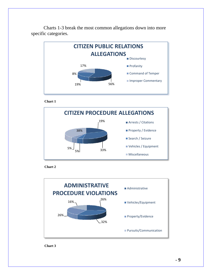

 Charts 1-3 break the most common allegations down into more specific categories.

 **Chart 1** 





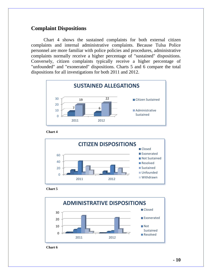## **Complaint Dispositions**

Chart 4 shows the sustained complaints for both external citizen complaints and internal administrative complaints. Because Tulsa Police personnel are more familiar with police policies and procedures, administrative complaints normally receive a higher percentage of "sustained" dispositions. Conversely, citizen complaints typically receive a higher percentage of "unfounded" and "exonerated" dispositions. Charts 5 and 6 compare the total dispositions for all investigations for both 2011 and 2012.



 **Chart 4** 



#### **Chart 5**

![](_page_12_Figure_6.jpeg)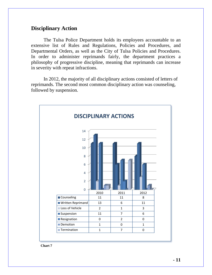## **Disciplinary Action**

 The Tulsa Police Department holds its employees accountable to an extensive list of Rules and Regulations, Policies and Procedures, and Departmental Orders, as well as the City of Tulsa Policies and Procedures. In order to administer reprimands fairly, the department practices a philosophy of progressive discipline, meaning that reprimands can increase in severity with repeat infractions.

In 2012, the majority of all disciplinary actions consisted of letters of reprimands. The second most common disciplinary action was counseling, followed by suspension.

![](_page_13_Figure_3.jpeg)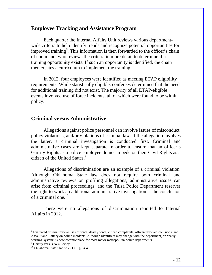## **Employee Tracking and Assistance Program**

Each quarter the Internal Affairs Unit reviews various departmentwide criteria to help identify trends and recognize potential opportunities for improved training<sup>8</sup>. This information is then forwarded to the officer's chain of command, who reviews the criteria in more detail to determine if a training opportunity exists. If such an opportunity is identified, the chain then creates a curriculum to implement the training.

In 2012, four employees were identified as meeting ETAP eligibility requirements. While statistically eligible, conferees determined that the need for additional training did not exist. The majority of all ETAP-eligible events involved use of force incidents, all of which were found to be within policy.

## **Criminal versus Administrative**

 Allegations against police personnel can involve issues of misconduct, policy violations, and/or violations of criminal law. If the allegation involves the latter, a criminal investigation is conducted first. Criminal and administrative cases are kept separate in order to ensure that an officer's Garrity Rights as a police employee do not impede on their Civil Rights as a citizen of the United States. $9$ 

Allegations of discrimination are an example of a criminal violation. Although Oklahoma State law does not require both criminal and administrative reviews on profiling allegations, administrative issues can arise from criminal proceedings, and the Tulsa Police Department reserves the right to work an additional administrative investigation at the conclusion of a criminal one. $^{10}$ 

There were no allegations of discrimination reported to Internal Affairs in 2012.

-

<sup>&</sup>lt;sup>8</sup> Evaluated criteria involve uses of force, deadly force, citizen complaints, officer-involved collisions, and Assault and Battery on police incidents. Although identifiers may change with the department, an "early warning system" is now commonplace for most major metropolitan police departments.

<sup>&</sup>lt;sup>9</sup> Garrity versus New Jersey

<sup>&</sup>lt;sup>10</sup> Oklahoma State Statute 22 O.S. § 34.4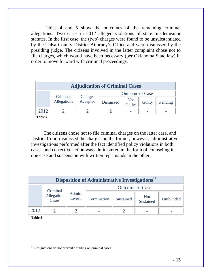Tables 4 and 5 show the outcomes of the remaining criminal allegations. Two cases in 2012 alleged violations of state misdemeanor statutes. In the first case, the (two) charges were found to be unsubstantiated by the Tulsa County District Attorney's Office and were dismissed by the presiding judge. The citizens involved in the latter complaint chose not to file charges, which would have been necessary (per Oklahoma State law) in order to move forward with criminal proceedings.

| <b>Adjudication of Criminal Cases</b> |             |                     |                        |               |        |         |  |  |  |
|---------------------------------------|-------------|---------------------|------------------------|---------------|--------|---------|--|--|--|
|                                       | Criminal    |                     | <b>Outcome of Case</b> |               |        |         |  |  |  |
|                                       | Allegations | Charges<br>Accepted | Dismissed              | Not<br>Guilty | Guilty | Pending |  |  |  |
| 2012                                  |             |                     |                        |               |        | -       |  |  |  |
| <b>m</b> 11 4                         |             |                     |                        |               |        |         |  |  |  |

 **Table 4**

 The citizens chose not to file criminal charges on the latter case, and District Court dismissed the charges on the former; however, administrative investigations performed after the fact identified policy violations in both cases, and corrective action was administered in the form of counseling in one case and suspension with written reprimands in the other.

| Disposition of Administrative Investigations <sup>11</sup> |                                 |                   |                        |           |                         |           |  |  |  |
|------------------------------------------------------------|---------------------------------|-------------------|------------------------|-----------|-------------------------|-----------|--|--|--|
|                                                            |                                 |                   | <b>Outcome of Case</b> |           |                         |           |  |  |  |
|                                                            | Criminal<br>Allegation<br>Cases | Admin.<br>Invest. | Termination            | Sustained | <b>Not</b><br>Sustained | Unfounded |  |  |  |
| 2012                                                       |                                 |                   |                        |           |                         |           |  |  |  |

**Table 5** 

l

 $11$  Resignations do not prevent a finding on criminal cases.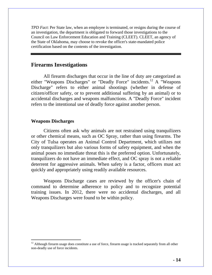*TPD Fact*: Per State law, when an employee is terminated, or resigns during the course of an investigation, the department is obligated to forward those investigations to the Council on Law Enforcement Education and Training (CLEET). CLEET, an agency of the State of Oklahoma, may choose to revoke the officer's state-mandated police certification based on the contents of the investigation.

## **Firearms Investigations**

 All firearm discharges that occur in the line of duty are categorized as either "Weapons Discharges" or "Deadly Force" incidents.<sup>12</sup> A "Weapons Discharge" refers to either animal shootings (whether in defense of citizen/officer safety, or to prevent additional suffering by an animal) or to accidental discharges and weapons malfunctions. A "Deadly Force" incident refers to the intentional use of deadly force against another person.

#### **Weapons Discharges**

 $\overline{a}$ 

 Citizens often ask why animals are not restrained using tranquilizers or other chemical means, such as OC Spray, rather than using firearms. The City of Tulsa operates an Animal Control Department, which utilizes not only tranquilizers but also various forms of safety equipment, and when the animal poses no immediate threat this is the preferred option. Unfortunately, tranquilizers do not have an immediate effect, and OC spray is not a reliable deterrent for aggressive animals. When safety is a factor, officers must act quickly and appropriately using readily available resources.

 Weapons Discharge cases are reviewed by the officer's chain of command to determine adherence to policy and to recognize potential training issues. In 2012, there were no accidental discharges, and all Weapons Discharges were found to be within policy.

 $12$  Although firearm usage does constitute a use of force, firearm usage is tracked separately from all other non-deadly use of force incidents.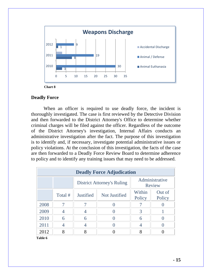![](_page_17_Figure_0.jpeg)

### **Deadly Force**

 When an officer is required to use deadly force, the incident is thoroughly investigated. The case is first reviewed by the Detective Division and then forwarded to the District Attorney's Office to determine whether criminal charges will be filed against the officer. Regardless of the outcome of the District Attorney's investigation, Internal Affairs conducts an administrative investigation after the fact. The purpose of this investigation is to identify and, if necessary, investigate potential administrative issues or policy violations. At the conclusion of this investigation, the facts of the case are then forwarded to a Deadly Force Review Board to determine adherence to policy and to identify any training issues that may need to be addressed.

| <b>Deadly Force Adjudication</b> |         |                  |                                   |                  |                          |  |  |  |  |
|----------------------------------|---------|------------------|-----------------------------------|------------------|--------------------------|--|--|--|--|
|                                  |         |                  | <b>District Attorney's Ruling</b> |                  | Administrative<br>Review |  |  |  |  |
|                                  | Total # | <b>Justified</b> | <b>Not Justified</b>              | Within<br>Policy | Out of<br>Policy         |  |  |  |  |
| 2008                             | 7       |                  |                                   |                  |                          |  |  |  |  |
| 2009                             | 4       | 4                |                                   | 3                |                          |  |  |  |  |
| 2010                             | 6       | 6                |                                   | 6                |                          |  |  |  |  |
| 2011                             | 4       | 4                |                                   |                  |                          |  |  |  |  |
| 2012                             | 8       | 8                |                                   | 8                |                          |  |  |  |  |

 **Table 6**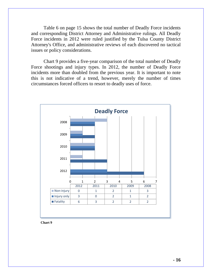Table 6 on page 15 shows the total number of Deadly Force incidents and corresponding District Attorney and Administrative rulings. All Deadly Force incidents in 2012 were ruled justified by the Tulsa County District Attorney's Office, and administrative reviews of each discovered no tactical issues or policy considerations.

 Chart 9 provides a five-year comparison of the total number of Deadly Force shootings and injury types. In 2012, the number of Deadly Force incidents more than doubled from the previous year. It is important to note this is not indicative of a trend, however, merely the number of times circumstances forced officers to resort to deadly uses of force.

![](_page_18_Figure_2.jpeg)

 **Chart 9**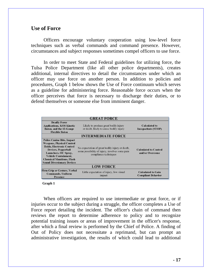## **Use of Force**

 Officers encourage voluntary cooperation using low-level force techniques such as verbal commands and command presence. However, circumstances and subject responses sometimes compel officers to use force.

 In order to meet State and Federal guidelines for utilizing force, the Tulsa Police Department (like all other police departments), creates additional, internal directives to detail the circumstances under which an officer may use force on another person. In addition to policies and procedures, Graph 1 below shows the Use of Force continuum which serves as a guideline for administering force. Reasonable force occurs when the officer perceives that force is necessary to discharge their duties, or to defend themselves or someone else from imminent danger.

|                                                                                                                                                                                                                                                                         | <b>GREAT FORCE</b>                                                                                                         |                                                        |  |  |  |  |  |
|-------------------------------------------------------------------------------------------------------------------------------------------------------------------------------------------------------------------------------------------------------------------------|----------------------------------------------------------------------------------------------------------------------------|--------------------------------------------------------|--|--|--|--|--|
| <b>Deadly Force</b><br><b>Applications, KO1 Kinetic</b><br><b>Baton, and the 12-Gauge</b><br><b>Flexible Baton</b>                                                                                                                                                      | Likely to produce great bodily injury<br>or death, likely to cause bodily injury                                           | <b>Calculated to</b><br>Incapacitate (STOP)            |  |  |  |  |  |
| <b>INTERMEDIATE FORCE</b>                                                                                                                                                                                                                                               |                                                                                                                            |                                                        |  |  |  |  |  |
| <b>Police Canine Bite, Impact</b><br><b>Weapons, Physical Control</b><br><b>Holds, Electronic Control</b><br><b>Devices, Pepperball</b><br>Launchers, OC Spray,<br><b>Vehicle Containment,</b><br><b>Chemical Munitions, Flash</b><br><b>Sound Diversionary Devices</b> | No expectation of great bodily injury or death,<br>some possibility of injury, involves some pain<br>compliance techniques | <b>Calculated to Control</b><br>and/or Overcome        |  |  |  |  |  |
| <b>LOW FORCE</b>                                                                                                                                                                                                                                                        |                                                                                                                            |                                                        |  |  |  |  |  |
| <b>Firm Grip or Gesture, Verbal</b><br><b>Commands, Uniform</b><br><b>Presence</b>                                                                                                                                                                                      | Little expectation of injury, low visual<br>impact                                                                         | <b>Calculated to Gain</b><br><b>Compliant Behavior</b> |  |  |  |  |  |

 **Graph 1** 

 When officers are required to use intermediate or great force, or if injuries occur to the subject during a struggle, the officer completes a Use of Force report detailing the incident. The officer's chain of command then reviews the report to determine adherence to policy and to recognize potential training issues or areas of improvement in the officer's response, after which a final review is performed by the Chief of Police. A finding of Out of Policy does not necessitate a reprimand, but can prompt an administrative investigation, the results of which could lead to additional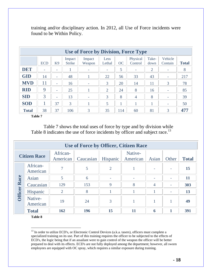| Use of Force by Division, Force Type |            |                          |                         |                          |                |           |                          |                |                          |              |  |
|--------------------------------------|------------|--------------------------|-------------------------|--------------------------|----------------|-----------|--------------------------|----------------|--------------------------|--------------|--|
|                                      | <b>ECD</b> | K9                       | Impact<br><b>Strike</b> | Impact<br>Weapon         | Less<br>Lethal | <b>OC</b> | Physical<br>Control      | Take-<br>down  | Vehicle<br>Contain       | <b>Total</b> |  |
| <b>DET</b>                           | ٠          | ۰                        |                         | $\overline{\phantom{0}}$ | ۰              | 5         | $\overline{\phantom{a}}$ | $\overline{2}$ | $\overline{\phantom{a}}$ | 8            |  |
| <b>GID</b>                           | 14         | $\overline{\phantom{0}}$ | 48                      |                          | 22             | 56        | 33                       | 43             | $\overline{\phantom{a}}$ | 217          |  |
| <b>MVD</b>                           | 11         | $\overline{\phantom{0}}$ | 16                      | $\overline{a}$           | 3              | 20        | 14                       | 11             | 3                        | 78           |  |
| <b>RID</b>                           | 9          | ۰                        | 25                      |                          | 2              | 24        | 8                        | 16             | ٠                        | 85           |  |
| <b>SID</b>                           | 3          | $\overline{\phantom{0}}$ | 13                      | $\overline{\phantom{0}}$ | 3              | 8         | $\overline{4}$           | 8              | ۰                        | 39           |  |
| <b>SOD</b>                           |            | 37                       | 3                       |                          | 5              |           |                          |                | ٠                        | 50           |  |
| <b>Total</b>                         | 38         | 37                       | 106                     | 3                        | 35             | 114       | 60                       | 81             | 3                        | 477          |  |

training and/or disciplinary action. In 2012, all Use of Force incidents were found to be Within Policy.

**Table 7** 

 Table 7 shows the total uses of force by type and by division while Table 8 indicates the use of force incidents by officer and subject race.<sup>13</sup>

|                     | Use of Force by Officer, Citizen Race |                      |           |                          |                          |                          |                |              |  |  |  |
|---------------------|---------------------------------------|----------------------|-----------|--------------------------|--------------------------|--------------------------|----------------|--------------|--|--|--|
| <b>Citizen Race</b> |                                       | African-<br>American | Caucasian | Hispanic                 | Native-<br>American      | Asian                    | Other          | <b>Total</b> |  |  |  |
|                     | African-<br>American                  | 7                    | 5         | $\overline{2}$           |                          |                          |                | 15           |  |  |  |
|                     | Asian                                 | 5                    | 6         | $\overline{\phantom{0}}$ | $\overline{\phantom{0}}$ | $\overline{\phantom{a}}$ |                | 11           |  |  |  |
| <b>Officer Race</b> | Caucasian                             | 129                  | 153       | 9                        | 8                        | $\overline{4}$           | $\overline{a}$ | 303          |  |  |  |
|                     | Hispanic                              | $\overline{2}$       | 8         |                          |                          |                          |                | 13           |  |  |  |
|                     | Native-<br>American                   | 19                   | 24        | 3                        |                          |                          |                | 49           |  |  |  |
|                     | <b>Total</b>                          | 162                  | 196       | 15                       | 11                       | 6                        | 1              | 391          |  |  |  |

**Table 8** 

 $\overline{a}$ 

<sup>13</sup> In order to utilize ECD's, or Electronic Control Devices (a.k.a. tasers), officers must complete a specialized training on its use. Part of this training requires the officer to be subjected to the effects of ECD's, the logic being that if an assailant were to gain control of the weapon the officer will be better prepared to deal with its effects. ECD's are not fully deployed among the department; however, all sworn employees are equipped with OC spray, which requires a similar exposure during training.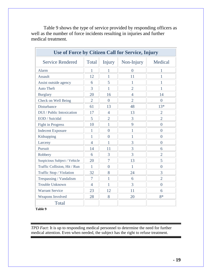| Use of Force by Citizen Call for Service, Injury |                |                |                |                |
|--------------------------------------------------|----------------|----------------|----------------|----------------|
| <b>Service Rendered</b>                          | Total          | Injury         | Non-Injury     | Medical        |
| <b>Alarm</b>                                     | 1              | 1              | $\theta$       | 1              |
| <b>Assault</b>                                   | 12             | 1              | 11             | 1              |
| Assist outside agency                            | 6              | 5              | 1              | 1              |
| <b>Auto Theft</b>                                | 3              | 1              | $\overline{2}$ | 1              |
| <b>Burglary</b>                                  | 20             | 16             | $\overline{4}$ | 14             |
| Check on Well Being                              | $\overline{2}$ | $\theta$       | $\overline{2}$ | $\Omega$       |
| Disturbance                                      | 61             | 13             | 48             | $13*$          |
| DUI / Public Intoxication                        | 17             | $\overline{4}$ | 13             | $\overline{2}$ |
| EOD / Suicidal                                   | 5              | $\overline{2}$ | 3              | $\overline{2}$ |
| <b>Fight in Progress</b>                         | 10             | 1              | 9              | $\overline{0}$ |
| <b>Indecent Exposure</b>                         | 1              | $\overline{0}$ | 1              | $\theta$       |
| Kidnapping                                       | 1              | $\overline{0}$ | 1              | $\overline{0}$ |
| Larceny                                          | $\overline{4}$ | 1              | 3              | $\theta$       |
| Pursuit                                          | 14             | 11             | 3              | 6              |
| Robbery                                          | 6              | 3              | 3              | $\overline{2}$ |
| Suspicious Subject / Vehicle                     | 20             | 7              | 13             | 5              |
| Traffic Collision, Hit / Run                     | 1              | $\Omega$       | 1              | $\Omega$       |
| Traffic Stop / Violation                         | 32             | 8              | 24             | 3              |
| Trespassing / Vandalism                          | $\overline{7}$ | 1              | 6              | $\overline{2}$ |
| <b>Trouble Unknown</b>                           | $\overline{4}$ | $\mathbf{1}$   | 3              | $\overline{0}$ |
| <b>Warrant Service</b>                           | 23             | 12             | 11             | 6              |
| <b>Weapons Involved</b>                          | 28             | 8              | 20             | $8*$           |
| Total                                            |                |                |                |                |

 Table 9 shows the type of service provided by responding officers as well as the number of force incidents resulting in injuries and further medical treatment.

 **Table 9** 

*TPD Fact*: It is up to responding medical personnel to determine the need for further medical attention. Even when needed, the subject has the right to refuse treatment.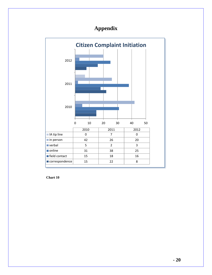## **Appendix**

![](_page_22_Figure_1.jpeg)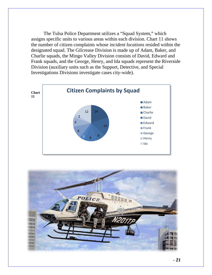The Tulsa Police Department utilizes a "Squad System," which assigns specific units to various areas within each division. Chart 11 shows the number of citizen complaints whose *incident locations* resided within the designated squad. The Gilcrease Division is made up of Adam, Baker, and Charlie squads, the Mingo Valley Division consists of David, Edward and Frank squads, and the George, Henry, and Ida squads represent the Riverside Division (auxiliary units such as the Support, Detective, and Special Investigations Divisions investigate cases city-wide).

![](_page_23_Figure_1.jpeg)

![](_page_23_Picture_2.jpeg)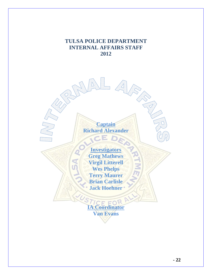## **TULSA POLICE DEPARTMENT INTERNAL AFFAIRS STAFF 2012**

**Captain Richard Alexander** 

 $\equiv$ 

**Investigators Greg Mathews Virgil Litterell Wes Phelps Terry Maurer Brian Carlisle Jack Hoehner** 

CF FO **IA Coordinator Van Evans**